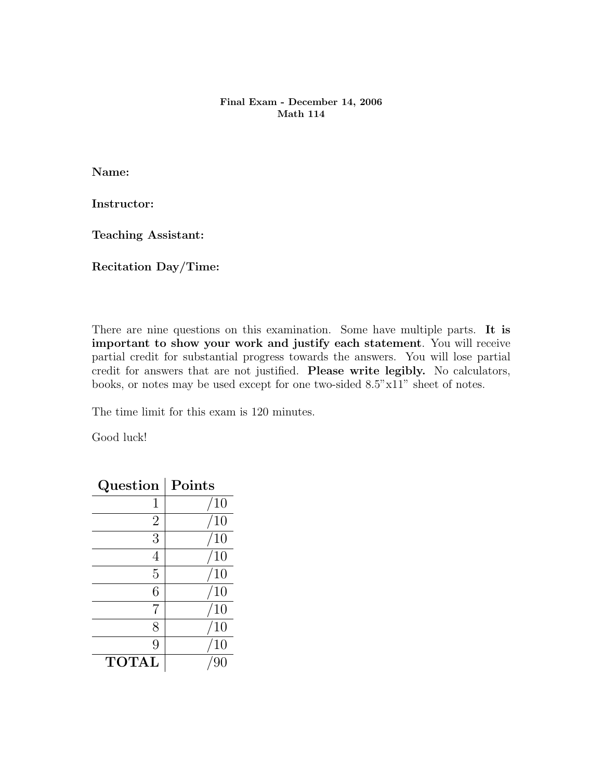## Final Exam - December 14, 2006 Math 114

Name:

Instructor:

Teaching Assistant:

Recitation Day/Time:

There are nine questions on this examination. Some have multiple parts. It is important to show your work and justify each statement. You will receive partial credit for substantial progress towards the answers. You will lose partial credit for answers that are not justified. Please write legibly. No calculators, books, or notes may be used except for one two-sided 8.5"x11" sheet of notes.

The time limit for this exam is 120 minutes.

Good luck!

| Question       | Points |
|----------------|--------|
| 1              | 10     |
| $\overline{2}$ | 10     |
| 3              | 10     |
|                | 10     |
| 5              | 10     |
| 6              | 10     |
| 7              | 10     |
| 8              | 10     |
| 9              |        |
| <b>TOTAL</b>   |        |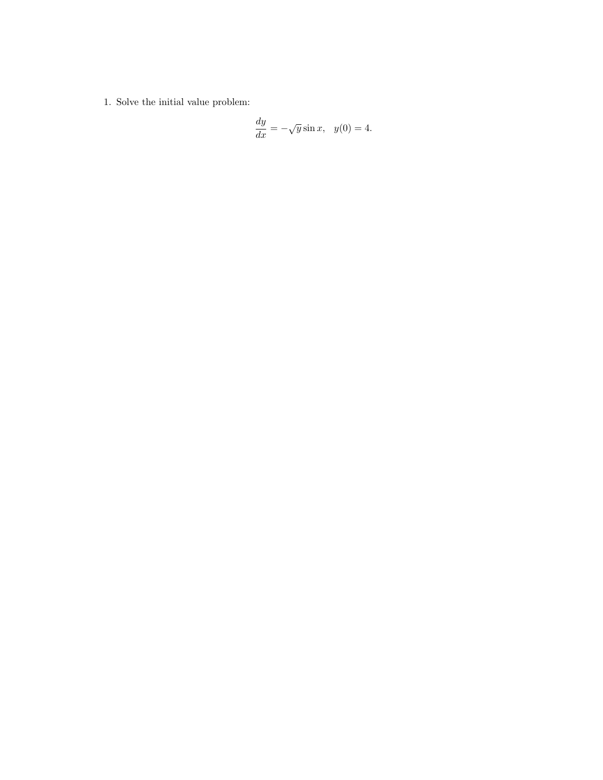1. Solve the initial value problem:

$$
\frac{dy}{dx} = -\sqrt{y}\sin x, \quad y(0) = 4.
$$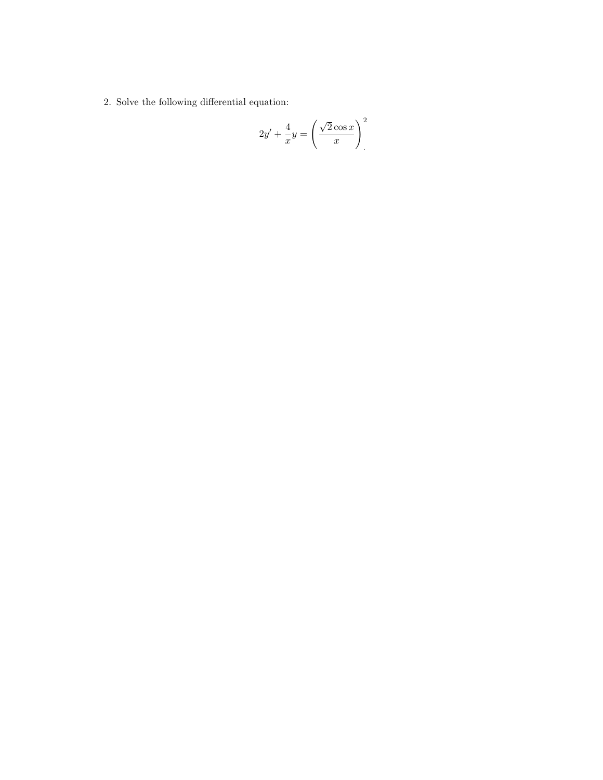2. Solve the following differential equation:

$$
2y' + \frac{4}{x}y = \left(\frac{\sqrt{2}\cos x}{x}\right)^2
$$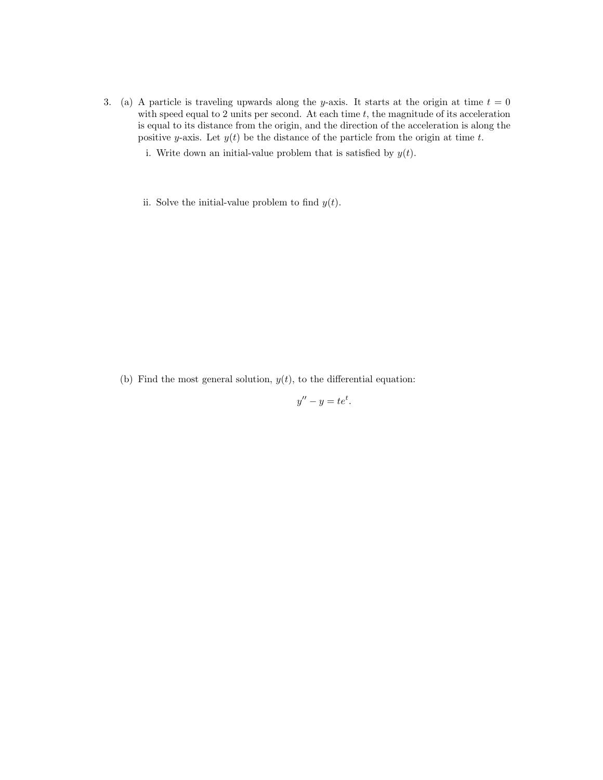- 3. (a) A particle is traveling upwards along the y-axis. It starts at the origin at time  $t = 0$ with speed equal to 2 units per second. At each time  $t$ , the magnitude of its acceleration is equal to its distance from the origin, and the direction of the acceleration is along the positive y-axis. Let  $y(t)$  be the distance of the particle from the origin at time t.
	- i. Write down an initial-value problem that is satisfied by  $y(t)$ .
	- ii. Solve the initial-value problem to find  $y(t)$ .

(b) Find the most general solution,  $y(t)$ , to the differential equation:

$$
y'' - y = te^t.
$$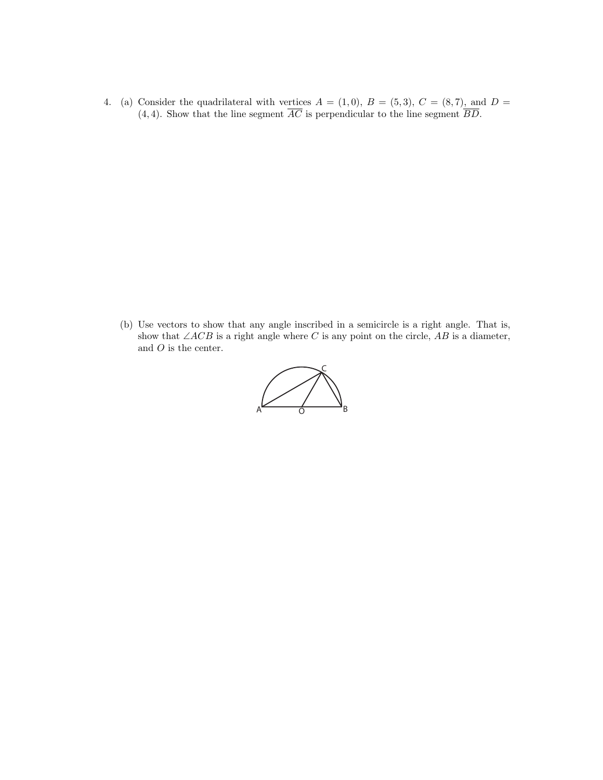4. (a) Consider the quadrilateral with vertices  $A = (1,0), B = (5,3), C = (8,7),$  and  $D =$ (4, 4). Show that the line segment  $\overline{AC}$  is perpendicular to the line segment  $\overline{BD}$ .

(b) Use vectors to show that any angle inscribed in a semicircle is a right angle. That is, show that  $\angle ACB$  is a right angle where C is any point on the circle, AB is a diameter, and  $O$  is the center.

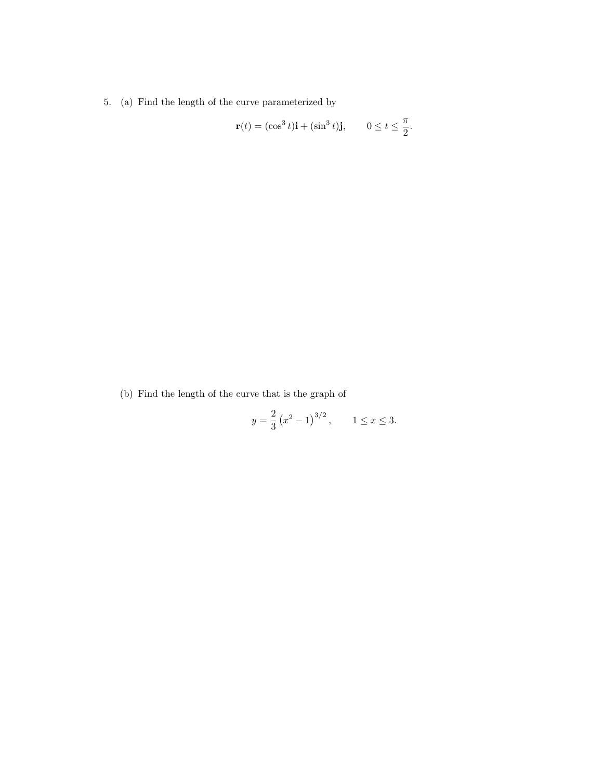5. (a) Find the length of the curve parameterized by

$$
\mathbf{r}(t) = (\cos^3 t)\mathbf{i} + (\sin^3 t)\mathbf{j}, \qquad 0 \le t \le \frac{\pi}{2}.
$$

(b) Find the length of the curve that is the graph of

$$
y = \frac{2}{3} (x^2 - 1)^{3/2}, \quad 1 \le x \le 3.
$$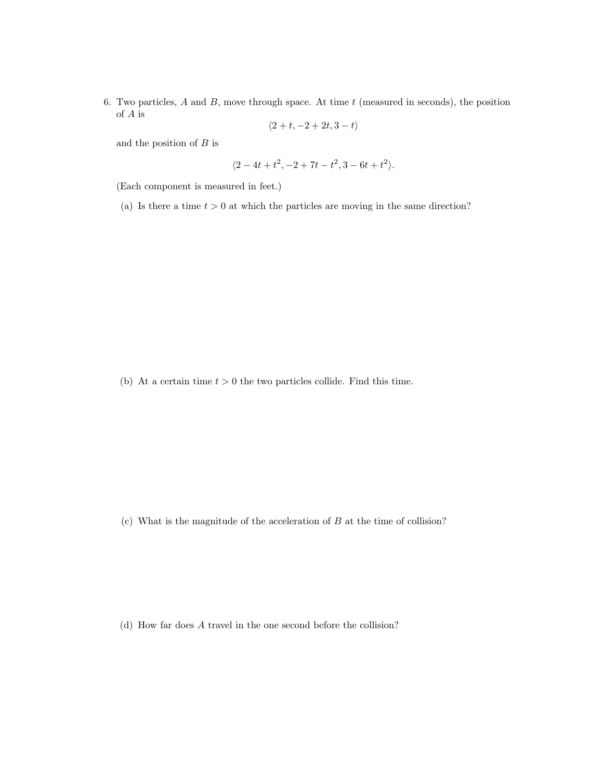6. Two particles,  $A$  and  $B$ , move through space. At time  $t$  (measured in seconds), the position of A is

$$
\langle 2+t, -2+2t, 3-t \rangle
$$

and the position of  $B$  is

$$
\langle 2 - 4t + t^2, -2 + 7t - t^2, 3 - 6t + t^2 \rangle.
$$

(Each component is measured in feet.)

(a) Is there a time  $t > 0$  at which the particles are moving in the same direction?

(b) At a certain time  $t > 0$  the two particles collide. Find this time.

 $(c)$  What is the magnitude of the acceleration of  $B$  at the time of collision?

(d) How far does A travel in the one second before the collision?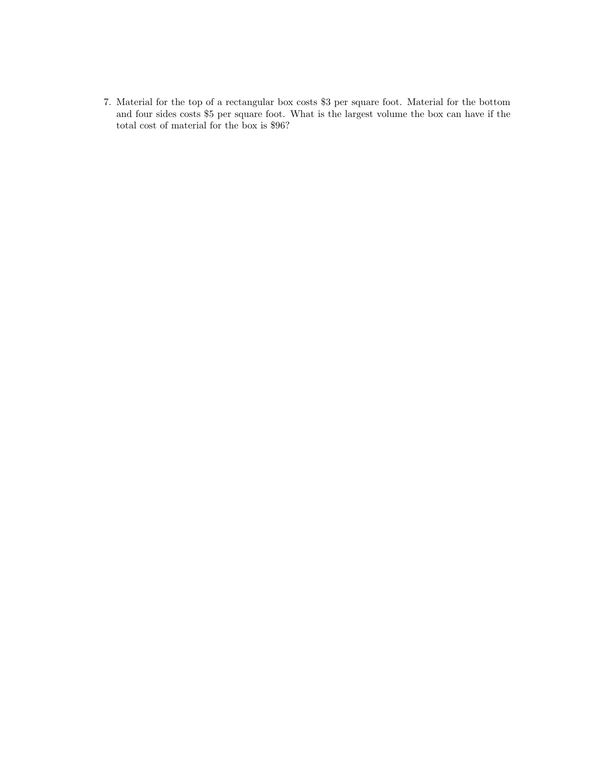7. Material for the top of a rectangular box costs \$3 per square foot. Material for the bottom and four sides costs \$5 per square foot. What is the largest volume the box can have if the total cost of material for the box is \$96?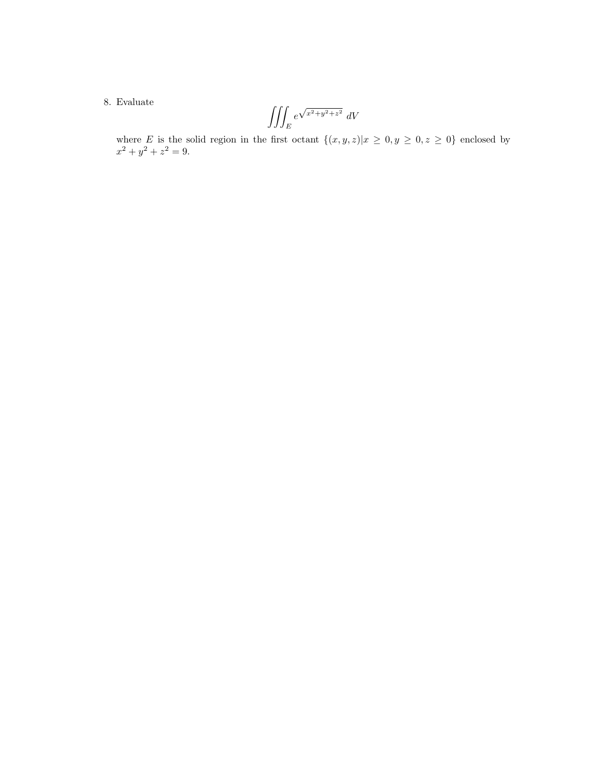## 8. Evaluate

$$
\iiint_E e^{\sqrt{x^2 + y^2 + z^2}} dV
$$

where E is the solid region in the first octant  $\{(x, y, z)|x \geq 0, y \geq 0, z \geq 0\}$  enclosed by  $x^2 + y^2 + z^2 = 9.$